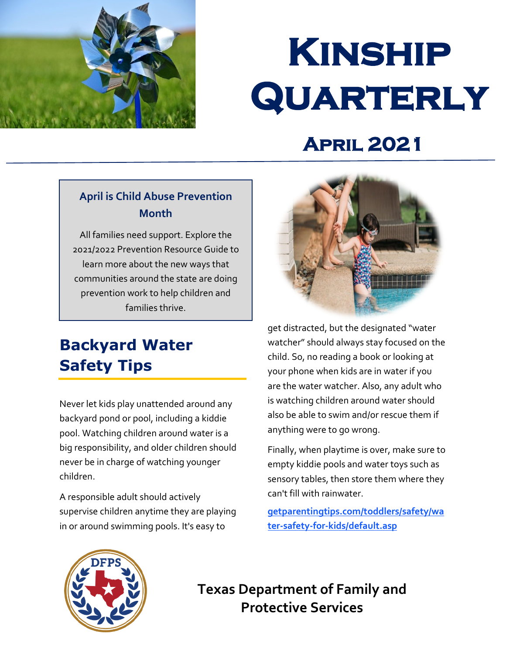

# **Kinship Quarterly**

# **April 2021**

#### **April is Child Abuse Prevention Month**

All families need support. Explore the 2021/2022 Prevention Resource Guide to learn more about the new ways that communities around the state are doing prevention work to help children and families thrive.

# **[Backyard Water](https://www.childwelfare.gov/topics/preventing/preventionmonth/resources/resource-guide/)  Safety Tips**

Never let kids play unattended around any backyard pond or pool, including a kiddie pool. Watching children around water is a big responsibility, and older children should never be in charge of watching younger children.

A responsible adult should actively supervise children anytime they are playing in or around swimming pools. It's easy to



get distracted, but the designated "water watcher" should always stay focused on the child. So, no reading a book or looking at your phone when kids are in water if you are the water watcher. Also, any adult who is watching children around water should also be able to swim and/or rescue them if anything were to go wrong.

Finally, when playtime is over, make sure to empty kiddie pools and water toys such as sensory tables, then store them where they can't fill with rainwater.

**[getparentingtips.com/toddlers/safety/wa](https://www.getparentingtips.com/toddlers/safety/water-safety-for-kids/default.asp)  [ter-safety-for-kids/default.asp](https://www.getparentingtips.com/toddlers/safety/water-safety-for-kids/default.asp)** 



 **Protective Services Texas Department of Family and**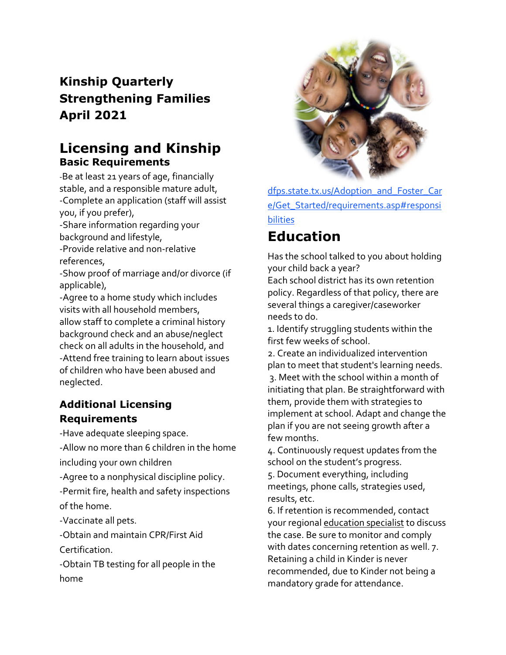### **Kinship Quarterly Strengthening Families April 2021**

#### **Licensing and Kinship Basic Requirements**

-Be at least 21 years of age, financially stable, and a responsible mature adult, -Complete an application (staff will assist you, if you prefer),

-Share information regarding your background and lifestyle,

-Provide relative and non-relative references,

-Show proof of marriage and/or divorce (if applicable),

-Agree to a home study which includes visits with all household members, allow staff to complete a criminal history background check and an abuse/neglect check on all adults in the household, and -Attend free training to learn about issues of children who have been abused and neglected.

#### **Additional Licensing Requirements**

-Have adequate sleeping space.

-Allow no more than 6 children in the home including your own children

-Agree to a nonphysical discipline policy.

-Permit fire, health and safety inspections of the home.

-Vaccinate all pets.

-Obtain and maintain CPR/First Aid Certification.

-Obtain TB testing for all people in the home



l, dfps.state.tx.us/Adoption\_and\_Foster\_Car [e/Get\\_Started/requirements.asp#responsi](http://www.dfps.state.tx.us/Adoption_and_Foster_Care/Get_Started/requirements.asp#responsibilities)  [bilities](http://www.dfps.state.tx.us/Adoption_and_Foster_Care/Get_Started/requirements.asp#responsibilities) 

## **Education**

Has the school talked to you about holding your child back a year?

Each school district has its own retention policy. Regardless of that policy, there are several things a caregiver/caseworker needs to do.

1. Identify struggling students within the first few weeks of school.

 implement at school. Adapt and change the 2. Create an individualized intervention plan to meet that student's learning needs. 3. Meet with the school within a month of initiating that plan. Be straightforward with them, provide them with strategies to plan if you are not seeing growth after a few months.

4. Continuously request updates from the school on the student's progress.

5. Document everything, including meetings, phone calls, strategies used, results, etc.

6. If retention is recommended, contact your regiona[l education specialist](https://www.dfps.state.tx.us/Child_Protection/State_Care/education_specialists.asp) to discuss the case. Be sure to monitor and comply with dates concerning retention as well. 7. Retaining a child in Kinder is never recommended, due to Kinder not being a mandatory grade for attendance.